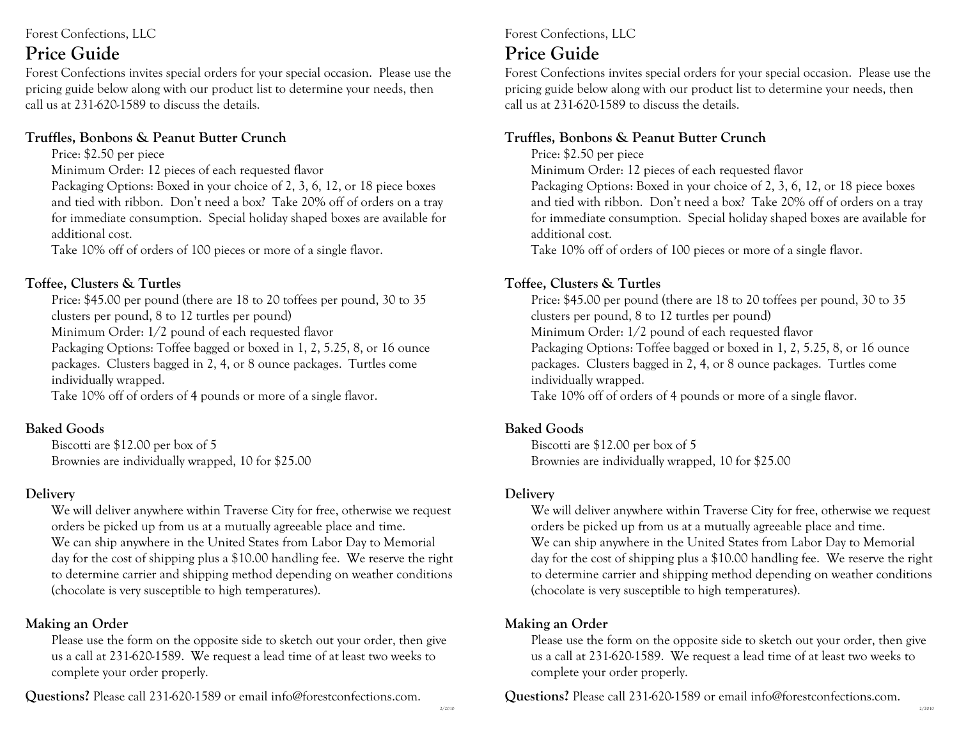Forest Confections, LLC

### **Price Guide**

Forest Confections invites special orders for your special occasion. Please use the pricing guide below along with our product list to determine your needs, then call us at 231-620-1589 to discuss the details.

### **Truffles, Bonbons & Peanut Butter Crunch**

Price: \$2.50 per piece

Minimum Order: 12 pieces of each requested flavor

Packaging Options: Boxed in your choice of 2, 3, 6, 12, or 18 piece boxes and tied with ribbon. Don't need a box? Take 20% off of orders on a tray for immediate consumption. Special holiday shaped boxes are available for additional cost.

Take 10% off of orders of 100 pieces or more of a single flavor.

### **Toffee, Clusters & Turtles**

Price: \$45.00 per pound (there are 18 to 20 toffees per pound, 30 to 35 clusters per pound, 8 to 12 turtles per pound) Minimum Order: 1/2 pound of each requested flavor

Packaging Options: Toffee bagged or boxed in 1, 2, 5.25, 8, or 16 ounce packages. Clusters bagged in 2, 4, or 8 ounce packages. Turtles come individually wrapped.

Take 10% off of orders of 4 pounds or more of a single flavor.

### **Baked Goods**

Biscotti are \$12.00 per box of 5 Brownies are individually wrapped, 10 for \$25.00

### **Delivery**

We will deliver anywhere within Traverse City for free, otherwise we request orders be picked up from us at a mutually agreeable place and time. We can ship anywhere in the United States from Labor Day to Memorial day for the cost of shipping plus a \$10.00 handling fee. We reserve the right to determine carrier and shipping method depending on weather conditions (chocolate is very susceptible to high temperatures).

### **Making an Order**

Please use the form on the opposite side to sketch out your order, then give us a call at 231-620-1589. We request a lead time of at least two weeks to complete your order properly.

**Questions?** Please call 231-620-1589 or email info@forestconfections.com.

Forest Confections, LLC

### **Price Guide**

Forest Confections invites special orders for your special occasion. Please use the pricing guide below along with our product list to determine your needs, then call us at 231-620-1589 to discuss the details.

### **Truffles, Bonbons & Peanut Butter Crunch**

Price: \$2.50 per piece

Minimum Order: 12 pieces of each requested flavor

Packaging Options: Boxed in your choice of 2, 3, 6, 12, or 18 piece boxes and tied with ribbon. Don't need a box? Take 20% off of orders on a tray for immediate consumption. Special holiday shaped boxes are available for additional cost.

Take 10% off of orders of 100 pieces or more of a single flavor.

### **Toffee, Clusters & Turtles**

Price: \$45.00 per pound (there are 18 to 20 toffees per pound, 30 to 35 clusters per pound, 8 to 12 turtles per pound) Minimum Order: 1/2 pound of each requested flavor Packaging Options: Toffee bagged or boxed in 1, 2, 5.25, 8, or 16 ounce packages. Clusters bagged in 2, 4, or 8 ounce packages. Turtles come individually wrapped. Take 10% off of orders of 4 pounds or more of a single flavor.

### **Baked Goods**

Biscotti are \$12.00 per box of 5 Brownies are individually wrapped, 10 for \$25.00

### **Delivery**

We will deliver anywhere within Traverse City for free, otherwise we request orders be picked up from us at a mutually agreeable place and time. We can ship anywhere in the United States from Labor Day to Memorial day for the cost of shipping plus a \$10.00 handling fee. We reserve the right to determine carrier and shipping method depending on weather conditions (chocolate is very susceptible to high temperatures).

### **Making an Order**

Please use the form on the opposite side to sketch out your order, then give us a call at 231-620-1589. We request a lead time of at least two weeks to complete your order properly.

**Questions?** Please call 231-620-1589 or email info@forestconfections.com.